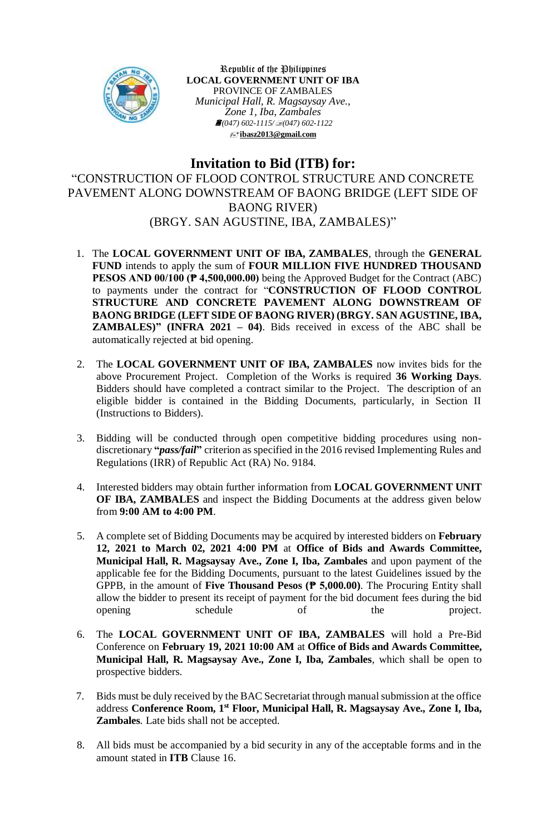

Republic of the Philippines **LOCAL GOVERNMENT UNIT OF IBA** PROVINCE OF ZAMBALES *Municipal Hall, R. Magsaysay Ave., Zone 1, Iba, Zambales (047) 602-1115/(047) 602-1122* **[ibasz2013@gmail.com](mailto:ibasz2013@gmail.com)**

## **Invitation to Bid (ITB) for:**

"CONSTRUCTION OF FLOOD CONTROL STRUCTURE AND CONCRETE PAVEMENT ALONG DOWNSTREAM OF BAONG BRIDGE (LEFT SIDE OF BAONG RIVER) (BRGY. SAN AGUSTINE, IBA, ZAMBALES)"

- 1. The **LOCAL GOVERNMENT UNIT OF IBA, ZAMBALES**, through the **GENERAL FUND** intends to apply the sum of **FOUR MILLION FIVE HUNDRED THOUSAND PESOS AND 00/100 (₱ 4,500,000.00)** being the Approved Budget for the Contract (ABC) to payments under the contract for "**CONSTRUCTION OF FLOOD CONTROL STRUCTURE AND CONCRETE PAVEMENT ALONG DOWNSTREAM OF BAONG BRIDGE (LEFT SIDE OF BAONG RIVER) (BRGY. SAN AGUSTINE, IBA, ZAMBALES)" (INFRA 2021 – 04)**. Bids received in excess of the ABC shall be automatically rejected at bid opening.
- 2. The **LOCAL GOVERNMENT UNIT OF IBA, ZAMBALES** now invites bids for the above Procurement Project. Completion of the Works is required **36 Working Days**. Bidders should have completed a contract similar to the Project. The description of an eligible bidder is contained in the Bidding Documents, particularly, in Section II (Instructions to Bidders).
- 3. Bidding will be conducted through open competitive bidding procedures using nondiscretionary **"***pass/fail***"** criterion as specified in the 2016 revised Implementing Rules and Regulations (IRR) of Republic Act (RA) No. 9184.
- 4. Interested bidders may obtain further information from **LOCAL GOVERNMENT UNIT OF IBA, ZAMBALES** and inspect the Bidding Documents at the address given below from **9:00 AM to 4:00 PM**.
- 5. A complete set of Bidding Documents may be acquired by interested bidders on **February 12, 2021 to March 02, 2021 4:00 PM** at **Office of Bids and Awards Committee, Municipal Hall, R. Magsaysay Ave., Zone I, Iba, Zambales** and upon payment of the applicable fee for the Bidding Documents, pursuant to the latest Guidelines issued by the GPPB, in the amount of **Five Thousand Pesos (₱ 5,000.00)**. The Procuring Entity shall allow the bidder to present its receipt of payment for the bid document fees during the bid opening schedule of the project.
- 6. The **LOCAL GOVERNMENT UNIT OF IBA, ZAMBALES** will hold a Pre-Bid Conference on **February 19, 2021 10:00 AM** at **Office of Bids and Awards Committee, Municipal Hall, R. Magsaysay Ave., Zone I, Iba, Zambales***,* which shall be open to prospective bidders.
- 7. Bids must be duly received by the BAC Secretariat through manual submission at the office address **Conference Room, 1 st Floor, Municipal Hall, R. Magsaysay Ave., Zone I, Iba, Zambales***.* Late bids shall not be accepted.
- 8. All bids must be accompanied by a bid security in any of the acceptable forms and in the amount stated in **ITB** Clause 16.